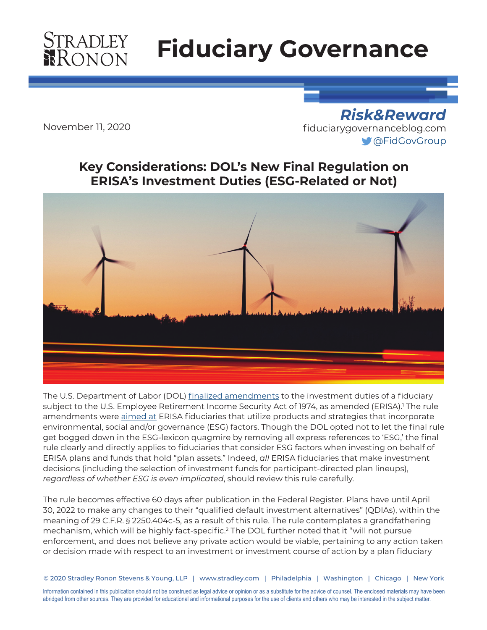# **STRADLEY**<br>RONON

## **Fiduciary Governance**

November 11, 2020

*Risk&Reward* [fiduciarygovernanceblog.com](http://fiduciarygovernanceblog.com) [@FidGovGroup](https://twitter.com/FidGovGroup)

## **Key Considerations: DOL's New Final Regulation on ERISA's Investment Duties (ESG-Related or Not)**



The U.S. Department of Labor (DOL) [finalized amendments](https://www.dol.gov/sites/dolgov/files/EBSA/temporary-postings/financial-factors-in-selecting-plan-investments-final-rule.pdf) to the investment duties of a fiduciary subject to the U.S. Employee Retirement Income Security Act of 1974, as amended (ERISA).' The rule amendments were [aimed at](https://fiduciarygovernanceblog.com/2020/06/24/dol-releases-significant-esg-proposal/) ERISA fiduciaries that utilize products and strategies that incorporate environmental, social and/or governance (ESG) factors. Though the DOL opted not to let the final rule get bogged down in the ESG-lexicon quagmire by removing all express references to 'ESG,' the final rule clearly and directly applies to fiduciaries that consider ESG factors when investing on behalf of ERISA plans and funds that hold "plan assets." Indeed, *all* ERISA fiduciaries that make investment decisions (including the selection of investment funds for participant-directed plan lineups), *regardless of whether ESG is even implicated*, should review this rule carefully.

The rule becomes effective 60 days after publication in the Federal Register. Plans have until April 30, 2022 to make any changes to their "qualified default investment alternatives" (QDIAs), within the meaning of 29 C.F.R. § 2250.404c-5, as a result of this rule. The rule contemplates a grandfathering mechanism, which will be highly fact-specific.<sup>2</sup> The DOL further noted that it "will not pursue enforcement, and does not believe any private action would be viable, pertaining to any action taken or decision made with respect to an investment or investment course of action by a plan fiduciary

© 2020 Stradley Ronon Stevens & Young, LLP | www.stradley.com | Philadelphia | Washington | Chicago | New York

Information contained in this publication should not be construed as legal advice or opinion or as a substitute for the advice of counsel. The enclosed materials may have been abridged from other sources. They are provided for educational and informational purposes for the use of clients and others who may be interested in the subject matter.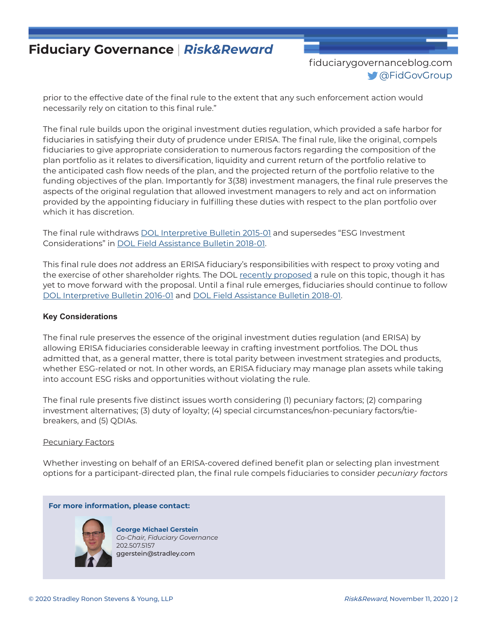[fiduciarygovernanceblog.com](http://fiduciarygovernanceblog.com) [@FidGovGroup](https://twitter.com/FidGovGroup)

prior to the effective date of the final rule to the extent that any such enforcement action would necessarily rely on citation to this final rule."

The final rule builds upon the original investment duties regulation, which provided a safe harbor for fiduciaries in satisfying their duty of prudence under ERISA. The final rule, like the original, compels fiduciaries to give appropriate consideration to numerous factors regarding the composition of the plan portfolio as it relates to diversification, liquidity and current return of the portfolio relative to the anticipated cash flow needs of the plan, and the projected return of the portfolio relative to the funding objectives of the plan. Importantly for 3(38) investment managers, the final rule preserves the aspects of the original regulation that allowed investment managers to rely and act on information provided by the appointing fiduciary in fulfilling these duties with respect to the plan portfolio over which it has discretion.

The final rule withdraws [DOL Interpretive Bulletin 2015-01](https://www.federalregister.gov/documents/2015/10/26/2015-27146/interpretive-bulletin-relating-to-the-fiduciary-standard-under-erisa-in-considering-economically) and supersedes "ESG Investment Considerations" in [DOL Field Assistance Bulletin 2018-01](https://www.dol.gov/agencies/ebsa/employers-and-advisers/guidance/field-assistance-bulletins/2018-01).

This final rule does *not* address an ERISA fiduciary's responsibilities with respect to proxy voting and the exercise of other shareholder rights. The DOL [recently proposed](https://fiduciarygovernanceblog.com/2020/09/02/new-dol-rule-proposal-risks-chilling-proxy-voting-and-shareholder-engagement/) a rule on this topic, though it has yet to move forward with the proposal. Until a final rule emerges, fiduciaries should continue to follow [DOL Interpretive Bulletin 2016-01](https://www.federalregister.gov/documents/2016/12/29/2016-31515/interpretive-bulletin-relating-to-the-exercise-of-shareholder-rights-and-written-statements-of) and [DOL Field Assistance Bulletin 2018-01.](https://www.dol.gov/agencies/ebsa/employers-and-advisers/guidance/field-assistance-bulletins/2018-01)

#### **Key Considerations**

The final rule preserves the essence of the original investment duties regulation (and ERISA) by allowing ERISA fiduciaries considerable leeway in crafting investment portfolios. The DOL thus admitted that, as a general matter, there is total parity between investment strategies and products, whether ESG-related or not. In other words, an ERISA fiduciary may manage plan assets while taking into account ESG risks and opportunities without violating the rule.

The final rule presents five distinct issues worth considering (1) pecuniary factors; (2) comparing investment alternatives; (3) duty of loyalty; (4) special circumstances/non-pecuniary factors/tiebreakers, and (5) QDIAs.

#### Pecuniary Factors

Whether investing on behalf of an ERISA-covered defined benefit plan or selecting plan investment options for a participant-directed plan, the final rule compels fiduciaries to consider *pecuniary factors*

#### **For more information, please contact:**



**George Michael Gerstein** *Co-Chair, Fiduciary Governance* 202.507.5157 ggerstein@stradley.com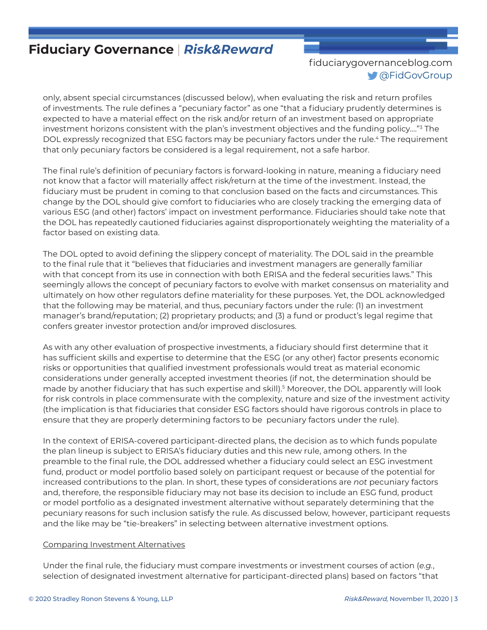## [fiduciarygovernanceblog.com](http://fiduciarygovernanceblog.com) [@FidGovGroup](https://twitter.com/FidGovGroup)

only, absent special circumstances (discussed below), when evaluating the risk and return profiles of investments. The rule defines a "pecuniary factor" as one "that a fiduciary prudently determines is expected to have a material effect on the risk and/or return of an investment based on appropriate investment horizons consistent with the plan's investment objectives and the funding policy…."3 The DOL expressly recognized that ESG factors may be pecuniary factors under the rule.<sup>4</sup> The requirement that only pecuniary factors be considered is a legal requirement, not a safe harbor.

The final rule's definition of pecuniary factors is forward-looking in nature, meaning a fiduciary need not know that a factor will materially affect risk/return at the time of the investment. Instead, the fiduciary must be prudent in coming to that conclusion based on the facts and circumstances. This change by the DOL should give comfort to fiduciaries who are closely tracking the emerging data of various ESG (and other) factors' impact on investment performance. Fiduciaries should take note that the DOL has repeatedly cautioned fiduciaries against disproportionately weighting the materiality of a factor based on existing data.

The DOL opted to avoid defining the slippery concept of materiality. The DOL said in the preamble to the final rule that it "believes that fiduciaries and investment managers are generally familiar with that concept from its use in connection with both ERISA and the federal securities laws." This seemingly allows the concept of pecuniary factors to evolve with market consensus on materiality and ultimately on how other regulators define materiality for these purposes. Yet, the DOL acknowledged that the following may be material, and thus, pecuniary factors under the rule: (1) an investment manager's brand/reputation; (2) proprietary products; and (3) a fund or product's legal regime that confers greater investor protection and/or improved disclosures.

As with any other evaluation of prospective investments, a fiduciary should first determine that it has sufficient skills and expertise to determine that the ESG (or any other) factor presents economic risks or opportunities that qualified investment professionals would treat as material economic considerations under generally accepted investment theories (if not, the determination should be made by another fiduciary that has such expertise and skill).5 Moreover, the DOL apparently will look for risk controls in place commensurate with the complexity, nature and size of the investment activity (the implication is that fiduciaries that consider ESG factors should have rigorous controls in place to ensure that they are properly determining factors to be pecuniary factors under the rule).

In the context of ERISA-covered participant-directed plans, the decision as to which funds populate the plan lineup is subject to ERISA's fiduciary duties and this new rule, among others. In the preamble to the final rule, the DOL addressed whether a fiduciary could select an ESG investment fund, product or model portfolio based solely on participant request or because of the potential for increased contributions to the plan. In short, these types of considerations are *not* pecuniary factors and, therefore, the responsible fiduciary may not base its decision to include an ESG fund, product or model portfolio as a designated investment alternative without separately determining that the pecuniary reasons for such inclusion satisfy the rule. As discussed below, however, participant requests and the like may be "tie-breakers" in selecting between alternative investment options.

#### Comparing Investment Alternatives

Under the final rule, the fiduciary must compare investments or investment courses of action (*e.g.*, selection of designated investment alternative for participant-directed plans) based on factors "that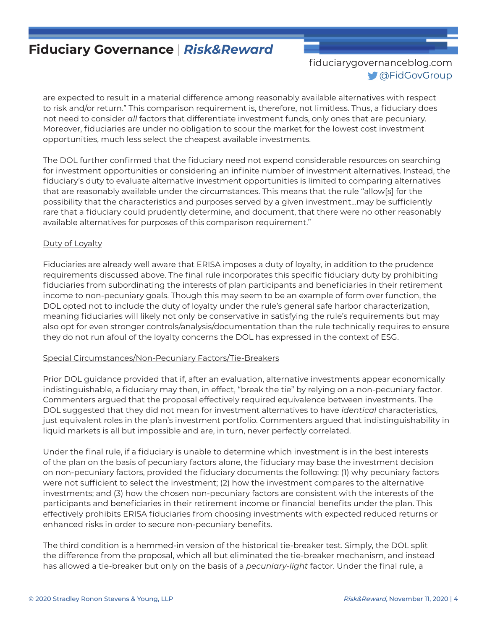[fiduciarygovernanceblog.com](http://fiduciarygovernanceblog.com) [@FidGovGroup](https://twitter.com/FidGovGroup)

are expected to result in a material difference among reasonably available alternatives with respect to risk and/or return." This comparison requirement is, therefore, not limitless. Thus, a fiduciary does not need to consider *all* factors that differentiate investment funds, only ones that are pecuniary. Moreover, fiduciaries are under no obligation to scour the market for the lowest cost investment opportunities, much less select the cheapest available investments.

The DOL further confirmed that the fiduciary need not expend considerable resources on searching for investment opportunities or considering an infinite number of investment alternatives. Instead, the fiduciary's duty to evaluate alternative investment opportunities is limited to comparing alternatives that are reasonably available under the circumstances. This means that the rule "allow[s] for the possibility that the characteristics and purposes served by a given investment…may be sufficiently rare that a fiduciary could prudently determine, and document, that there were no other reasonably available alternatives for purposes of this comparison requirement."

### Duty of Loyalty

Fiduciaries are already well aware that ERISA imposes a duty of loyalty, in addition to the prudence requirements discussed above. The final rule incorporates this specific fiduciary duty by prohibiting fiduciaries from subordinating the interests of plan participants and beneficiaries in their retirement income to non-pecuniary goals. Though this may seem to be an example of form over function, the DOL opted not to include the duty of loyalty under the rule's general safe harbor characterization, meaning fiduciaries will likely not only be conservative in satisfying the rule's requirements but may also opt for even stronger controls/analysis/documentation than the rule technically requires to ensure they do not run afoul of the loyalty concerns the DOL has expressed in the context of ESG.

#### Special Circumstances/Non-Pecuniary Factors/Tie-Breakers

Prior DOL guidance provided that if, after an evaluation, alternative investments appear economically indistinguishable, a fiduciary may then, in effect, "break the tie" by relying on a non-pecuniary factor. Commenters argued that the proposal effectively required equivalence between investments. The DOL suggested that they did not mean for investment alternatives to have *identical* characteristics, just equivalent roles in the plan's investment portfolio. Commenters argued that indistinguishability in liquid markets is all but impossible and are, in turn, never perfectly correlated.

Under the final rule, if a fiduciary is unable to determine which investment is in the best interests of the plan on the basis of pecuniary factors alone, the fiduciary may base the investment decision on non-pecuniary factors, provided the fiduciary documents the following: (1) why pecuniary factors were not sufficient to select the investment; (2) how the investment compares to the alternative investments; and (3) how the chosen non-pecuniary factors are consistent with the interests of the participants and beneficiaries in their retirement income or financial benefits under the plan. This effectively prohibits ERISA fiduciaries from choosing investments with expected reduced returns or enhanced risks in order to secure non-pecuniary benefits.

The third condition is a hemmed-in version of the historical tie-breaker test. Simply, the DOL split the difference from the proposal, which all but eliminated the tie-breaker mechanism, and instead has allowed a tie-breaker but only on the basis of a *pecuniary-light* factor. Under the final rule, a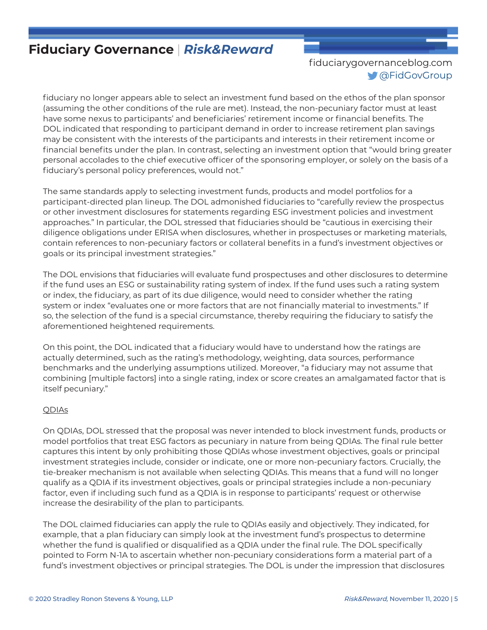## [fiduciarygovernanceblog.com](http://fiduciarygovernanceblog.com) [@FidGovGroup](https://twitter.com/FidGovGroup)

fiduciary no longer appears able to select an investment fund based on the ethos of the plan sponsor (assuming the other conditions of the rule are met). Instead, the non-pecuniary factor must at least have some nexus to participants' and beneficiaries' retirement income or financial benefits. The DOL indicated that responding to participant demand in order to increase retirement plan savings may be consistent with the interests of the participants and interests in their retirement income or financial benefits under the plan. In contrast, selecting an investment option that "would bring greater personal accolades to the chief executive officer of the sponsoring employer, or solely on the basis of a fiduciary's personal policy preferences, would not."

The same standards apply to selecting investment funds, products and model portfolios for a participant-directed plan lineup. The DOL admonished fiduciaries to "carefully review the prospectus or other investment disclosures for statements regarding ESG investment policies and investment approaches." In particular, the DOL stressed that fiduciaries should be "cautious in exercising their diligence obligations under ERISA when disclosures, whether in prospectuses or marketing materials, contain references to non-pecuniary factors or collateral benefits in a fund's investment objectives or goals or its principal investment strategies."

The DOL envisions that fiduciaries will evaluate fund prospectuses and other disclosures to determine if the fund uses an ESG or sustainability rating system of index. If the fund uses such a rating system or index, the fiduciary, as part of its due diligence, would need to consider whether the rating system or index "evaluates one or more factors that are not financially material to investments." If so, the selection of the fund is a special circumstance, thereby requiring the fiduciary to satisfy the aforementioned heightened requirements.

On this point, the DOL indicated that a fiduciary would have to understand how the ratings are actually determined, such as the rating's methodology, weighting, data sources, performance benchmarks and the underlying assumptions utilized. Moreover, "a fiduciary may not assume that combining [multiple factors] into a single rating, index or score creates an amalgamated factor that is itself pecuniary."

#### QDIAs

On QDIAs, DOL stressed that the proposal was never intended to block investment funds, products or model portfolios that treat ESG factors as pecuniary in nature from being QDIAs. The final rule better captures this intent by only prohibiting those QDIAs whose investment objectives, goals or principal investment strategies include, consider or indicate, one or more non-pecuniary factors. Crucially, the tie-breaker mechanism is not available when selecting QDIAs. This means that a fund will no longer qualify as a QDIA if its investment objectives, goals or principal strategies include a non-pecuniary factor, even if including such fund as a QDIA is in response to participants' request or otherwise increase the desirability of the plan to participants.

The DOL claimed fiduciaries can apply the rule to QDIAs easily and objectively. They indicated, for example, that a plan fiduciary can simply look at the investment fund's prospectus to determine whether the fund is qualified or disqualified as a QDIA under the final rule. The DOL specifically pointed to Form N-1A to ascertain whether non-pecuniary considerations form a material part of a fund's investment objectives or principal strategies. The DOL is under the impression that disclosures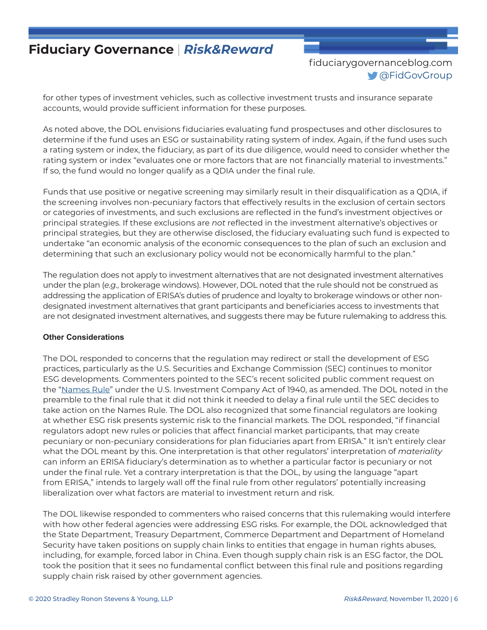[fiduciarygovernanceblog.com](http://fiduciarygovernanceblog.com) [@FidGovGroup](https://twitter.com/FidGovGroup)

for other types of investment vehicles, such as collective investment trusts and insurance separate accounts, would provide sufficient information for these purposes.

As noted above, the DOL envisions fiduciaries evaluating fund prospectuses and other disclosures to determine if the fund uses an ESG or sustainability rating system of index. Again, if the fund uses such a rating system or index, the fiduciary, as part of its due diligence, would need to consider whether the rating system or index "evaluates one or more factors that are not financially material to investments." If so, the fund would no longer qualify as a QDIA under the final rule.

Funds that use positive or negative screening may similarly result in their disqualification as a QDIA, if the screening involves non-pecuniary factors that effectively results in the exclusion of certain sectors or categories of investments, and such exclusions are reflected in the fund's investment objectives or principal strategies. If these exclusions are *not* reflected in the investment alternative's objectives or principal strategies, but they are otherwise disclosed, the fiduciary evaluating such fund is expected to undertake "an economic analysis of the economic consequences to the plan of such an exclusion and determining that such an exclusionary policy would not be economically harmful to the plan."

The regulation does not apply to investment alternatives that are not designated investment alternatives under the plan (*e.g.*, brokerage windows). However, DOL noted that the rule should not be construed as addressing the application of ERISA's duties of prudence and loyalty to brokerage windows or other nondesignated investment alternatives that grant participants and beneficiaries access to investments that are not designated investment alternatives, and suggests there may be future rulemaking to address this.

#### **Other Considerations**

The DOL responded to concerns that the regulation may redirect or stall the development of ESG practices, particularly as the U.S. Securities and Exchange Commission (SEC) continues to monitor ESG developments. Commenters pointed to the SEC's recent solicited public comment request on the ["Names Rule](https://www.federalregister.gov/documents/2020/03/06/2020-04573/request-for-comments-on-fund-names)" under the U.S. Investment Company Act of 1940, as amended. The DOL noted in the preamble to the final rule that it did not think it needed to delay a final rule until the SEC decides to take action on the Names Rule. The DOL also recognized that some financial regulators are looking at whether ESG risk presents systemic risk to the financial markets. The DOL responded, "if financial regulators adopt new rules or policies that affect financial market participants, that may create pecuniary or non-pecuniary considerations for plan fiduciaries apart from ERISA." It isn't entirely clear what the DOL meant by this. One interpretation is that other regulators' interpretation of *materiality* can inform an ERISA fiduciary's determination as to whether a particular factor is pecuniary or not under the final rule. Yet a contrary interpretation is that the DOL, by using the language "apart from ERISA," intends to largely wall off the final rule from other regulators' potentially increasing liberalization over what factors are material to investment return and risk.

The DOL likewise responded to commenters who raised concerns that this rulemaking would interfere with how other federal agencies were addressing ESG risks. For example, the DOL acknowledged that the State Department, Treasury Department, Commerce Department and Department of Homeland Security have taken positions on supply chain links to entities that engage in human rights abuses, including, for example, forced labor in China. Even though supply chain risk is an ESG factor, the DOL took the position that it sees no fundamental conflict between this final rule and positions regarding supply chain risk raised by other government agencies.